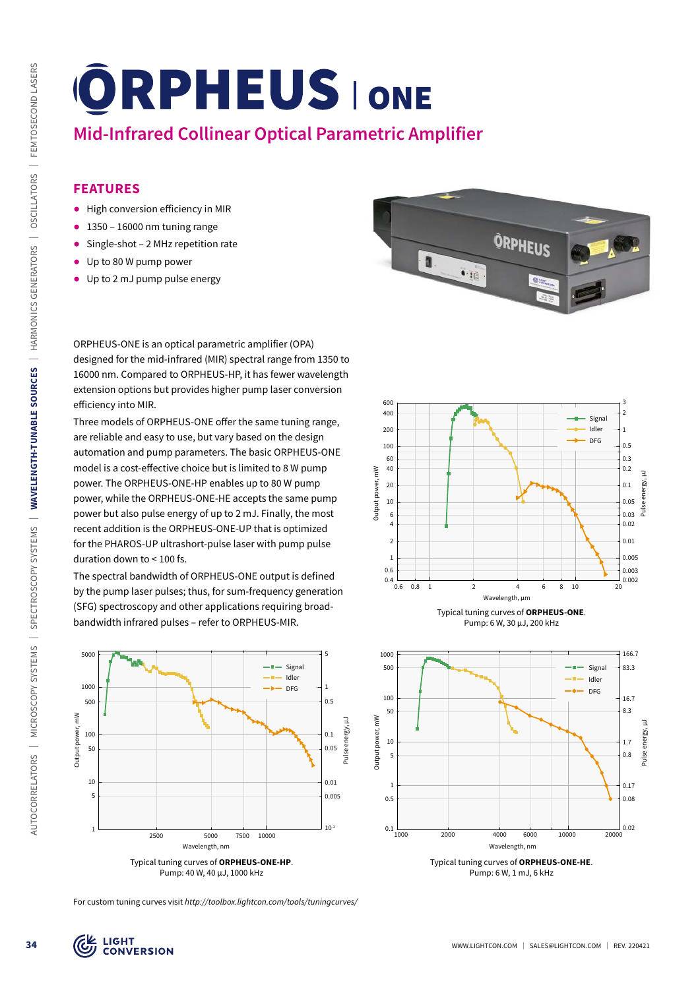# **Mid-Infrared Collinear Optical Parametric Amplifier**

## **FEATURES**

- ᰋ High conversion efficiency in MIR
- $\bullet$  1350 16000 nm tuning range
- Single-shot 2 MHz repetition rate
- Up to 80 W pump power
- Up to 2 mJ pump pulse energy

ORPHEUS-ONE is an optical parametric amplifier (OPA) designed for the mid-infrared (MIR) spectral range from 1350 to 16000 nm. Compared to ORPHEUS-HP, it has fewer wavelength extension options but provides higher pump laser conversion efficiency into MIR.

Three models of ORPHEUS-ONE offer the same tuning range, are reliable and easy to use, but vary based on the design automation and pump parameters. The basic ORPHEUS-ONE model is a cost-effective choice but is limited to 8 W pump power. The ORPHEUS-ONE-HP enables up to 80 W pump power, while the ORPHEUS-ONE-HE accepts the same pump power but also pulse energy of up to 2 mJ. Finally, the most recent addition is the ORPHEUS-ONE-UP that is optimized for the PHAROS-UP ultrashort-pulse laser with pump pulse duration down to < 100 fs.

The spectral bandwidth of ORPHEUS-ONE output is defined by the pump laser pulses; thus, for sum-frequency generation (SFG) spectroscopy and other applications requiring broadbandwidth infrared pulses – refer to ORPHEUS-MIR.









Pump: 6 W, 30 µJ, 200 kHz



Typical tuning curves of **ORPHEUS-ONE-HE**. Pump: 6 W, 1 mJ, 6 kHz

For custom tuning curves visit *http://toolbox.lightcon.com/tools/tuningcurves/*